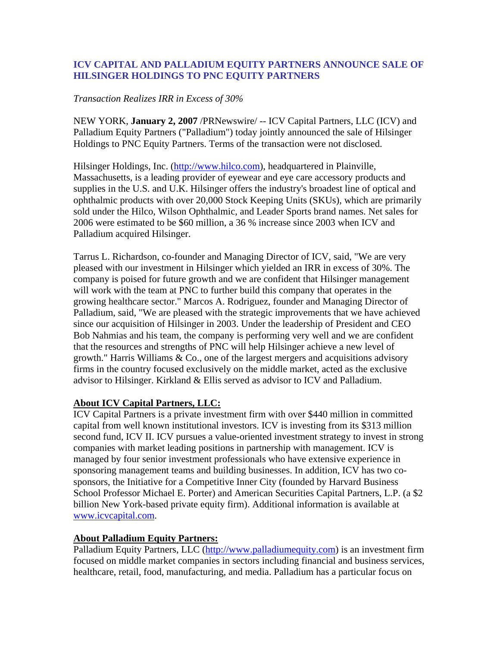## **ICV CAPITAL AND PALLADIUM EQUITY PARTNERS ANNOUNCE SALE OF HILSINGER HOLDINGS TO PNC EQUITY PARTNERS**

## *Transaction Realizes IRR in Excess of 30%*

NEW YORK, **January 2, 2007** /PRNewswire/ -- ICV Capital Partners, LLC (ICV) and Palladium Equity Partners ("Palladium") today jointly announced the sale of Hilsinger Holdings to PNC Equity Partners. Terms of the transaction were not disclosed.

Hilsinger Holdings, Inc. (http://www.hilco.com), headquartered in Plainville, Massachusetts, is a leading provider of eyewear and eye care accessory products and supplies in the U.S. and U.K. Hilsinger offers the industry's broadest line of optical and ophthalmic products with over 20,000 Stock Keeping Units (SKUs), which are primarily sold under the Hilco, Wilson Ophthalmic, and Leader Sports brand names. Net sales for 2006 were estimated to be \$60 million, a 36 % increase since 2003 when ICV and Palladium acquired Hilsinger.

Tarrus L. Richardson, co-founder and Managing Director of ICV, said, "We are very pleased with our investment in Hilsinger which yielded an IRR in excess of 30%. The company is poised for future growth and we are confident that Hilsinger management will work with the team at PNC to further build this company that operates in the growing healthcare sector." Marcos A. Rodriguez, founder and Managing Director of Palladium, said, "We are pleased with the strategic improvements that we have achieved since our acquisition of Hilsinger in 2003. Under the leadership of President and CEO Bob Nahmias and his team, the company is performing very well and we are confident that the resources and strengths of PNC will help Hilsinger achieve a new level of growth." Harris Williams & Co., one of the largest mergers and acquisitions advisory firms in the country focused exclusively on the middle market, acted as the exclusive advisor to Hilsinger. Kirkland & Ellis served as advisor to ICV and Palladium.

## **About ICV Capital Partners, LLC:**

ICV Capital Partners is a private investment firm with over \$440 million in committed capital from well known institutional investors. ICV is investing from its \$313 million second fund, ICV II. ICV pursues a value-oriented investment strategy to invest in strong companies with market leading positions in partnership with management. ICV is managed by four senior investment professionals who have extensive experience in sponsoring management teams and building businesses. In addition, ICV has two cosponsors, the Initiative for a Competitive Inner City (founded by Harvard Business School Professor Michael E. Porter) and American Securities Capital Partners, L.P. (a \$2 billion New York-based private equity firm). Additional information is available at www.icvcapital.com.

## **About Palladium Equity Partners:**

Palladium Equity Partners, LLC (http://www.palladiumequity.com) is an investment firm focused on middle market companies in sectors including financial and business services, healthcare, retail, food, manufacturing, and media. Palladium has a particular focus on